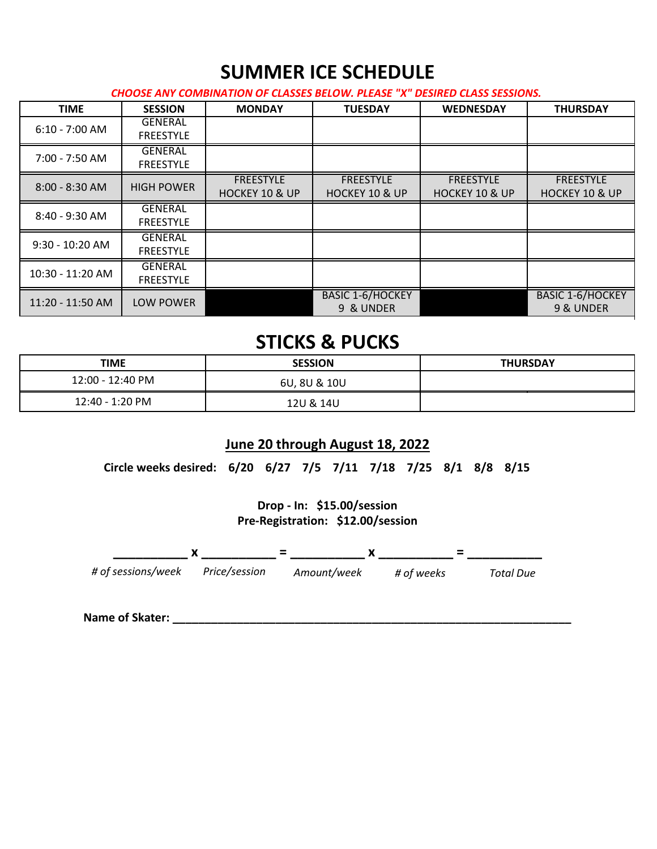## **SUMMER ICE SCHEDULE**

*CHOOSE ANY COMBINATION OF CLASSES BELOW. PLEASE "X" DESIRED CLASS SESSIONS.*

| <b>TIME</b>        | <b>SESSION</b>                     | <b>MONDAY</b>                                 | <b>TUESDAY</b>                                | <b>WEDNESDAY</b>                              | <b>THURSDAY</b>                               |
|--------------------|------------------------------------|-----------------------------------------------|-----------------------------------------------|-----------------------------------------------|-----------------------------------------------|
| $6:10 - 7:00$ AM   | <b>GENERAL</b><br><b>FREESTYLE</b> |                                               |                                               |                                               |                                               |
| 7:00 - 7:50 AM     | <b>GENERAL</b><br><b>FREESTYLE</b> |                                               |                                               |                                               |                                               |
| $8:00 - 8:30$ AM   | <b>HIGH POWER</b>                  | <b>FREESTYLE</b><br><b>HOCKEY 10 &amp; UP</b> | <b>FREESTYLE</b><br><b>HOCKEY 10 &amp; UP</b> | <b>FREESTYLE</b><br><b>HOCKEY 10 &amp; UP</b> | <b>FREESTYLE</b><br><b>HOCKEY 10 &amp; UP</b> |
| 8:40 - 9:30 AM     | <b>GENERAL</b><br><b>FREESTYLE</b> |                                               |                                               |                                               |                                               |
| $9:30 - 10:20$ AM  | <b>GENERAL</b><br><b>FREESTYLE</b> |                                               |                                               |                                               |                                               |
| $10:30 - 11:20$ AM | <b>GENERAL</b><br><b>FREESTYLE</b> |                                               |                                               |                                               |                                               |
| 11:20 - 11:50 AM   | <b>LOW POWER</b>                   |                                               | <b>BASIC 1-6/HOCKEY</b><br>9 & UNDER          |                                               | <b>BASIC 1-6/HOCKEY</b><br>9 & UNDER          |

### **STICKS & PUCKS**

| <b>TIME</b>      | <b>SESSION</b> | <b>THURSDAY</b> |  |
|------------------|----------------|-----------------|--|
| 12:00 - 12:40 PM | 6U, 8U & 10U   |                 |  |
| 12:40 - 1:20 PM  | 12U & 14U      |                 |  |

### **June 20 through August 18, 2022**

**Circle weeks desired: 6/20 6/27 7/5 7/11 7/18 7/25 8/1 8/8 8/15** 

**Drop - In: \$15.00/session Pre-Registration: \$12.00/session**



**Name of Skater: \_\_\_\_\_\_\_\_\_\_\_\_\_\_\_\_\_\_\_\_\_\_\_\_\_\_\_\_\_\_\_\_\_\_\_\_\_\_\_\_\_\_\_\_\_\_\_\_\_\_\_\_\_\_\_\_\_\_\_\_\_\_**